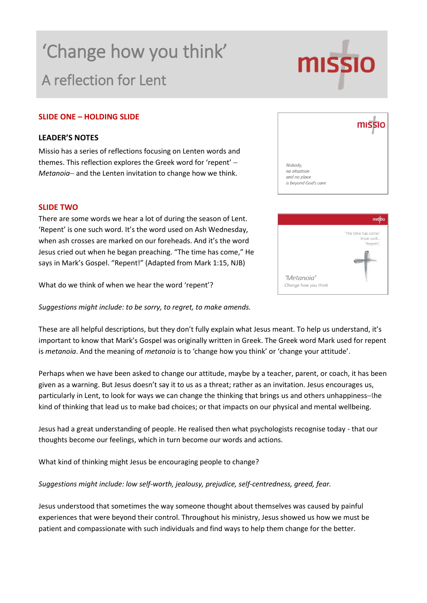# 'Change how you think' A reflection for Lent

# **SLIDE ONE – HOLDING SLIDE**

# **LEADER'S NOTES**

Missio has a series of reflections focusing on Lenten words and themes. This reflection explores the Greek word for 'repent' – *Metanoia*– and the Lenten invitation to change how we think.

### **SLIDE TWO**

There are some words we hear a lot of during the season of Lent. 'Repent' is one such word. It's the word used on Ash Wedne when ash crosses are marked on our foreheads. And it's the Jesus cried out when he began preaching. "The time has cor says in Mark's Gospel. "Repent!" (Adapted from Mark 1:15,

What do we think of when we hear the word 'repent'?

*Suggestions might include: to be sorry, to regret, to make amends.*

These are all helpful descriptions, but they don't fully explain what Jesus meant. To help us understand, it's important to know that Mark's Gospel was originally written in Greek. The Greek word Mark used for repent is *metanoia*. And the meaning of *metanoia* is to 'change how you think' or 'change your attitude'.

Perhaps when we have been asked to change our attitude, maybe by a teacher, parent, or coach, it has been given as a warning. But Jesus doesn't say it to us as a threat; rather as an invitation. Jesus encourages us, particularly in Lent, to look for ways we can change the thinking that brings us and others unhappiness–the kind of thinking that lead us to make bad choices; or that impacts on our physical and mental wellbeing.

Jesus had a great understanding of people. He realised then what psychologists recognise today - that our thoughts become our feelings, which in turn become our words and actions.

What kind of thinking might Jesus be encouraging people to change?

*Suggestions might include: low self-worth, jealousy, prejudice, self-centredness, greed, fear.*

Jesus understood that sometimes the way someone thought about themselves was caused by painful experiences that were beyond their control. Throughout his ministry, Jesus showed us how we must be patient and compassionate with such individuals and find ways to help them change for the better.

| esday,  |                      | 'The time has come.'    |
|---------|----------------------|-------------------------|
| word    |                      | Jesus said<br>'Repent'. |
| me," He |                      |                         |
| NJB)    |                      |                         |
|         | 'Metanoia'           |                         |
|         | Change how you think |                         |
|         |                      |                         |